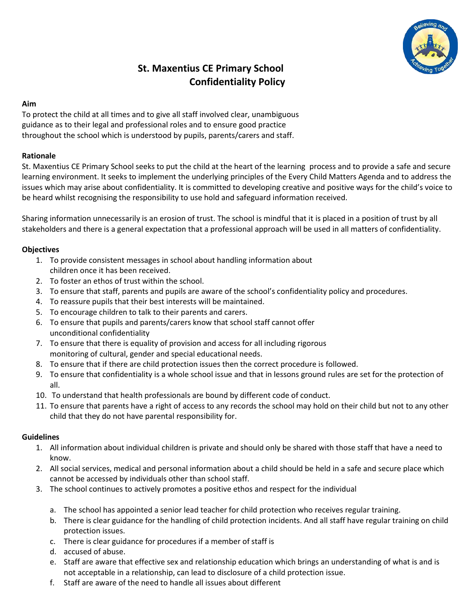

# **St. Maxentius CE Primary School Confidentiality Policy**

#### **Aim**

To protect the child at all times and to give all staff involved clear, unambiguous guidance as to their legal and professional roles and to ensure good practice throughout the school which is understood by pupils, parents/carers and staff.

# **Rationale**

St. Maxentius CE Primary School seeks to put the child at the heart of the learning process and to provide a safe and secure learning environment. It seeks to implement the underlying principles of the Every Child Matters Agenda and to address the issues which may arise about confidentiality. It is committed to developing creative and positive ways for the child's voice to be heard whilst recognising the responsibility to use hold and safeguard information received.

Sharing information unnecessarily is an erosion of trust. The school is mindful that it is placed in a position of trust by all stakeholders and there is a general expectation that a professional approach will be used in all matters of confidentiality.

# **Objectives**

- 1. To provide consistent messages in school about handling information about children once it has been received.
- 2. To foster an ethos of trust within the school.
- 3. To ensure that staff, parents and pupils are aware of the school's confidentiality policy and procedures.
- 4. To reassure pupils that their best interests will be maintained.
- 5. To encourage children to talk to their parents and carers.
- 6. To ensure that pupils and parents/carers know that school staff cannot offer unconditional confidentiality
- 7. To ensure that there is equality of provision and access for all including rigorous monitoring of cultural, gender and special educational needs.
- 8. To ensure that if there are child protection issues then the correct procedure is followed.
- 9. To ensure that confidentiality is a whole school issue and that in lessons ground rules are set for the protection of all.
- 10. To understand that health professionals are bound by different code of conduct.
- 11. To ensure that parents have a right of access to any records the school may hold on their child but not to any other child that they do not have parental responsibility for.

#### **Guidelines**

- 1. All information about individual children is private and should only be shared with those staff that have a need to know.
- 2. All social services, medical and personal information about a child should be held in a safe and secure place which cannot be accessed by individuals other than school staff.
- 3. The school continues to actively promotes a positive ethos and respect for the individual
	- a. The school has appointed a senior lead teacher for child protection who receives regular training.
	- b. There is clear guidance for the handling of child protection incidents. And all staff have regular training on child protection issues.
	- c. There is clear guidance for procedures if a member of staff is
	- d. accused of abuse.
	- e. Staff are aware that effective sex and relationship education which brings an understanding of what is and is not acceptable in a relationship, can lead to disclosure of a child protection issue.
	- f. Staff are aware of the need to handle all issues about different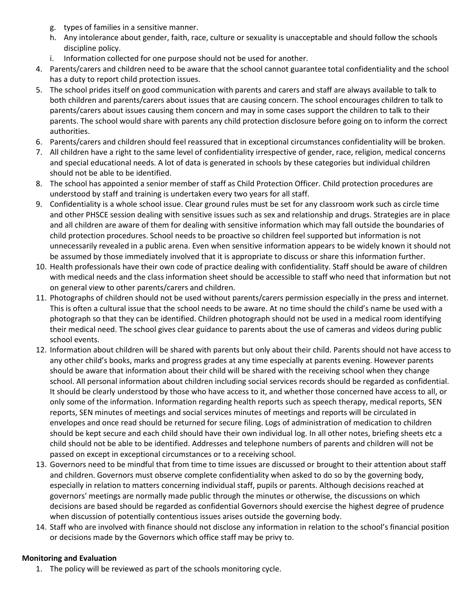- g. types of families in a sensitive manner.
- h. Any intolerance about gender, faith, race, culture or sexuality is unacceptable and should follow the schools discipline policy.
- i. Information collected for one purpose should not be used for another.
- 4. Parents/carers and children need to be aware that the school cannot guarantee total confidentiality and the school has a duty to report child protection issues.
- 5. The school prides itself on good communication with parents and carers and staff are always available to talk to both children and parents/carers about issues that are causing concern. The school encourages children to talk to parents/carers about issues causing them concern and may in some cases support the children to talk to their parents. The school would share with parents any child protection disclosure before going on to inform the correct authorities.
- 6. Parents/carers and children should feel reassured that in exceptional circumstances confidentiality will be broken.
- 7. All children have a right to the same level of confidentiality irrespective of gender, race, religion, medical concerns and special educational needs. A lot of data is generated in schools by these categories but individual children should not be able to be identified.
- 8. The school has appointed a senior member of staff as Child Protection Officer. Child protection procedures are understood by staff and training is undertaken every two years for all staff.
- 9. Confidentiality is a whole school issue. Clear ground rules must be set for any classroom work such as circle time and other PHSCE session dealing with sensitive issues such as sex and relationship and drugs. Strategies are in place and all children are aware of them for dealing with sensitive information which may fall outside the boundaries of child protection procedures. School needs to be proactive so children feel supported but information is not unnecessarily revealed in a public arena. Even when sensitive information appears to be widely known it should not be assumed by those immediately involved that it is appropriate to discuss or share this information further.
- 10. Health professionals have their own code of practice dealing with confidentiality. Staff should be aware of children with medical needs and the class information sheet should be accessible to staff who need that information but not on general view to other parents/carers and children.
- 11. Photographs of children should not be used without parents/carers permission especially in the press and internet. This is often a cultural issue that the school needs to be aware. At no time should the child's name be used with a photograph so that they can be identified. Children photograph should not be used in a medical room identifying their medical need. The school gives clear guidance to parents about the use of cameras and videos during public school events.
- 12. Information about children will be shared with parents but only about their child. Parents should not have access to any other child's books, marks and progress grades at any time especially at parents evening. However parents should be aware that information about their child will be shared with the receiving school when they change school. All personal information about children including social services records should be regarded as confidential. It should be clearly understood by those who have access to it, and whether those concerned have access to all, or only some of the information. Information regarding health reports such as speech therapy, medical reports, SEN reports, SEN minutes of meetings and social services minutes of meetings and reports will be circulated in envelopes and once read should be returned for secure filing. Logs of administration of medication to children should be kept secure and each child should have their own individual log. In all other notes, briefing sheets etc a child should not be able to be identified. Addresses and telephone numbers of parents and children will not be passed on except in exceptional circumstances or to a receiving school.
- 13. Governors need to be mindful that from time to time issues are discussed or brought to their attention about staff and children. Governors must observe complete confidentiality when asked to do so by the governing body, especially in relation to matters concerning individual staff, pupils or parents. Although decisions reached at governors' meetings are normally made public through the minutes or otherwise, the discussions on which decisions are based should be regarded as confidential Governors should exercise the highest degree of prudence when discussion of potentially contentious issues arises outside the governing body.
- 14. Staff who are involved with finance should not disclose any information in relation to the school's financial position or decisions made by the Governors which office staff may be privy to.

# **Monitoring and Evaluation**

1. The policy will be reviewed as part of the schools monitoring cycle.